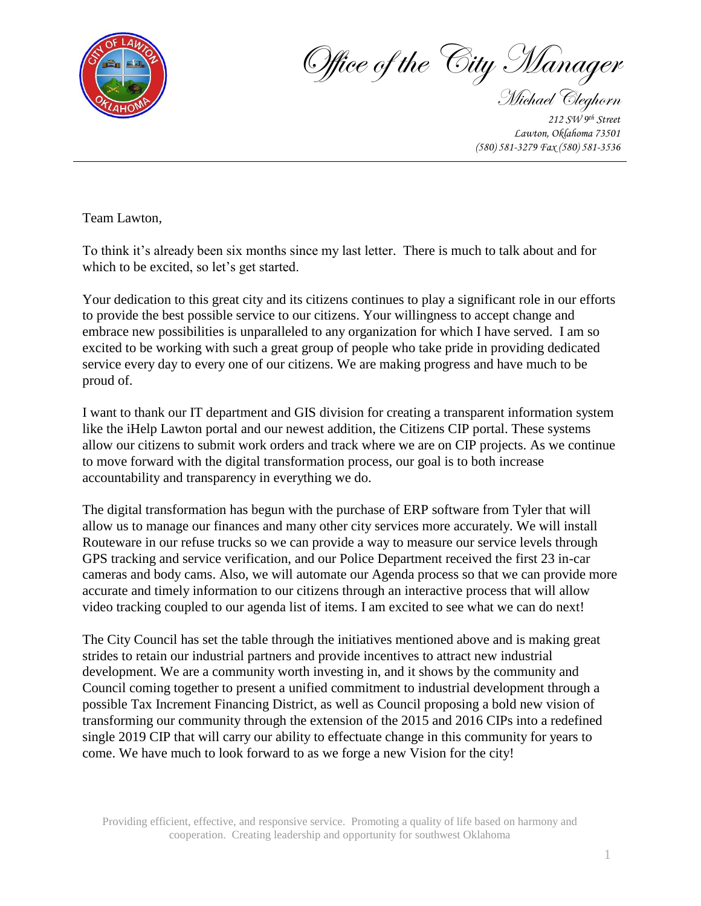

Office of the City Manager

Michael Cleghorn *212 SW 9th Street Lawton, Oklahoma 73501 (580) 581-3279 Fax (580) 581-3536* 

Team Lawton,

To think it's already been six months since my last letter. There is much to talk about and for which to be excited, so let's get started.

Your dedication to this great city and its citizens continues to play a significant role in our efforts to provide the best possible service to our citizens. Your willingness to accept change and embrace new possibilities is unparalleled to any organization for which I have served. I am so excited to be working with such a great group of people who take pride in providing dedicated service every day to every one of our citizens. We are making progress and have much to be proud of.

I want to thank our IT department and GIS division for creating a transparent information system like the iHelp Lawton portal and our newest addition, the Citizens CIP portal. These systems allow our citizens to submit work orders and track where we are on CIP projects. As we continue to move forward with the digital transformation process, our goal is to both increase accountability and transparency in everything we do.

The digital transformation has begun with the purchase of ERP software from Tyler that will allow us to manage our finances and many other city services more accurately. We will install Routeware in our refuse trucks so we can provide a way to measure our service levels through GPS tracking and service verification, and our Police Department received the first 23 in-car cameras and body cams. Also, we will automate our Agenda process so that we can provide more accurate and timely information to our citizens through an interactive process that will allow video tracking coupled to our agenda list of items. I am excited to see what we can do next!

The City Council has set the table through the initiatives mentioned above and is making great strides to retain our industrial partners and provide incentives to attract new industrial development. We are a community worth investing in, and it shows by the community and Council coming together to present a unified commitment to industrial development through a possible Tax Increment Financing District, as well as Council proposing a bold new vision of transforming our community through the extension of the 2015 and 2016 CIPs into a redefined single 2019 CIP that will carry our ability to effectuate change in this community for years to come. We have much to look forward to as we forge a new Vision for the city!

Providing efficient, effective, and responsive service. Promoting a quality of life based on harmony and cooperation. Creating leadership and opportunity for southwest Oklahoma